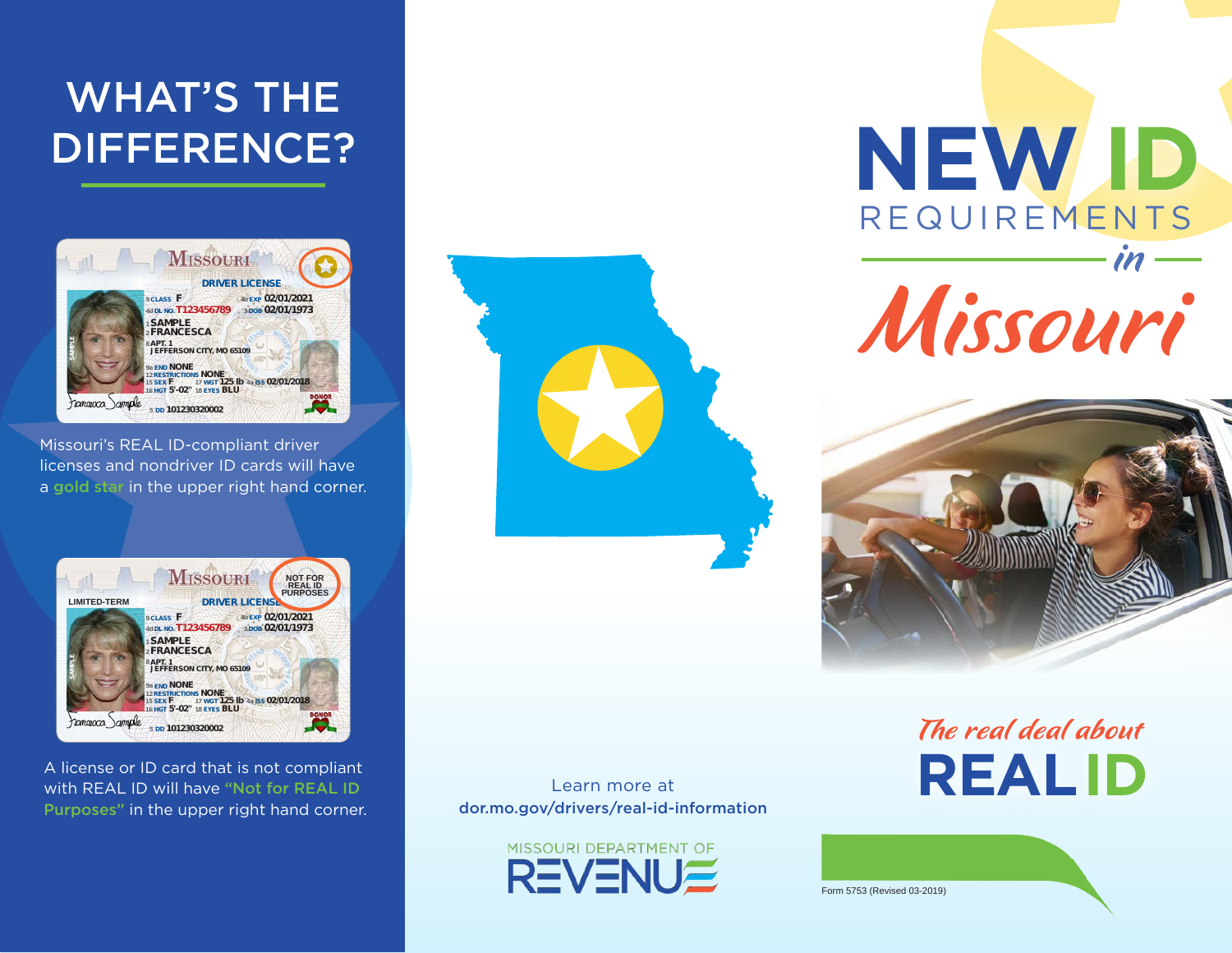#### **02/01/1973 02/01/2021 F T123456789 CLASS DOB EXP DL NO. 9 4d 3 4b NONE NONE JEFFERSON CITY, MO 65109 APT. 1 FRANCESCA END 9a 8 2** DIFFERENCE? WHAT'S THE

**5'-02" BLU**

**18**

**HGT EYES**

**16** 



**Missouri's REAL ID-compliant driver** licenses and nondriver ID cards will have a gold star in the upper right hand corner.



A license or ID card that is not compliant with REAL ID will have "Not for REAL ID Purposes" in the upper right hand corner.



**NEW ID** Missouri REQUIREMENTS in



**REAL ID** The real deal about

Learn more at dor.mo.gov/drivers/real-id-information



Form 5753 (Revised 03-2019)